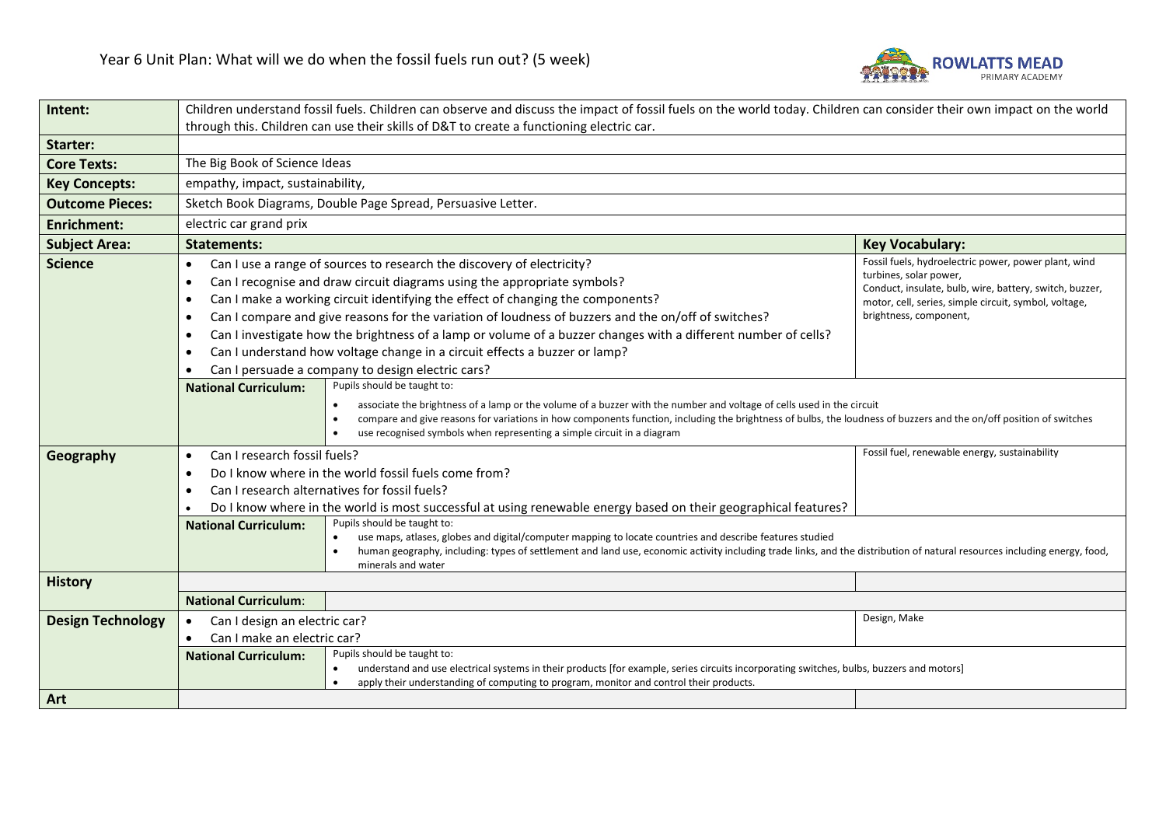

| Intent:                  | Children understand fossil fuels. Children can observe and discuss the impact of fossil fuels on the world today. Children can consider their own impact on the world |                                                                                                                                                                                                                                                                                                                                                                                                                                                                                                                                                                                                                                                                                                                                                           |                                                                                                                                                                                                                              |  |  |  |
|--------------------------|-----------------------------------------------------------------------------------------------------------------------------------------------------------------------|-----------------------------------------------------------------------------------------------------------------------------------------------------------------------------------------------------------------------------------------------------------------------------------------------------------------------------------------------------------------------------------------------------------------------------------------------------------------------------------------------------------------------------------------------------------------------------------------------------------------------------------------------------------------------------------------------------------------------------------------------------------|------------------------------------------------------------------------------------------------------------------------------------------------------------------------------------------------------------------------------|--|--|--|
|                          |                                                                                                                                                                       | through this. Children can use their skills of D&T to create a functioning electric car.                                                                                                                                                                                                                                                                                                                                                                                                                                                                                                                                                                                                                                                                  |                                                                                                                                                                                                                              |  |  |  |
| Starter:                 |                                                                                                                                                                       |                                                                                                                                                                                                                                                                                                                                                                                                                                                                                                                                                                                                                                                                                                                                                           |                                                                                                                                                                                                                              |  |  |  |
| <b>Core Texts:</b>       | The Big Book of Science Ideas                                                                                                                                         |                                                                                                                                                                                                                                                                                                                                                                                                                                                                                                                                                                                                                                                                                                                                                           |                                                                                                                                                                                                                              |  |  |  |
| <b>Key Concepts:</b>     | empathy, impact, sustainability,                                                                                                                                      |                                                                                                                                                                                                                                                                                                                                                                                                                                                                                                                                                                                                                                                                                                                                                           |                                                                                                                                                                                                                              |  |  |  |
| <b>Outcome Pieces:</b>   | Sketch Book Diagrams, Double Page Spread, Persuasive Letter.                                                                                                          |                                                                                                                                                                                                                                                                                                                                                                                                                                                                                                                                                                                                                                                                                                                                                           |                                                                                                                                                                                                                              |  |  |  |
| <b>Enrichment:</b>       | electric car grand prix                                                                                                                                               |                                                                                                                                                                                                                                                                                                                                                                                                                                                                                                                                                                                                                                                                                                                                                           |                                                                                                                                                                                                                              |  |  |  |
| <b>Subject Area:</b>     | <b>Statements:</b><br><b>Key Vocabulary:</b>                                                                                                                          |                                                                                                                                                                                                                                                                                                                                                                                                                                                                                                                                                                                                                                                                                                                                                           |                                                                                                                                                                                                                              |  |  |  |
| <b>Science</b>           | $\bullet$<br>$\bullet$<br>$\bullet$<br>$\bullet$<br>$\bullet$<br><b>National Curriculum:</b>                                                                          | Can I use a range of sources to research the discovery of electricity?<br>Can I recognise and draw circuit diagrams using the appropriate symbols?<br>Can I make a working circuit identifying the effect of changing the components?<br>Can I compare and give reasons for the variation of loudness of buzzers and the on/off of switches?<br>Can I investigate how the brightness of a lamp or volume of a buzzer changes with a different number of cells?<br>Can I understand how voltage change in a circuit effects a buzzer or lamp?<br>Can I persuade a company to design electric cars?<br>Pupils should be taught to:<br>associate the brightness of a lamp or the volume of a buzzer with the number and voltage of cells used in the circuit | Fossil fuels, hydroelectric power, power plant, wind<br>turbines, solar power,<br>Conduct, insulate, bulb, wire, battery, switch, buzzer,<br>motor, cell, series, simple circuit, symbol, voltage,<br>brightness, component, |  |  |  |
|                          |                                                                                                                                                                       | compare and give reasons for variations in how components function, including the brightness of bulbs, the loudness of buzzers and the on/off position of switches<br>$\bullet$<br>use recognised symbols when representing a simple circuit in a diagram                                                                                                                                                                                                                                                                                                                                                                                                                                                                                                 |                                                                                                                                                                                                                              |  |  |  |
| Geography                | Can I research fossil fuels?<br>$\bullet$                                                                                                                             |                                                                                                                                                                                                                                                                                                                                                                                                                                                                                                                                                                                                                                                                                                                                                           | Fossil fuel, renewable energy, sustainability                                                                                                                                                                                |  |  |  |
|                          | Do I know where in the world fossil fuels come from?<br>$\bullet$                                                                                                     |                                                                                                                                                                                                                                                                                                                                                                                                                                                                                                                                                                                                                                                                                                                                                           |                                                                                                                                                                                                                              |  |  |  |
|                          | Can I research alternatives for fossil fuels?<br>$\bullet$                                                                                                            |                                                                                                                                                                                                                                                                                                                                                                                                                                                                                                                                                                                                                                                                                                                                                           |                                                                                                                                                                                                                              |  |  |  |
|                          | <b>National Curriculum:</b>                                                                                                                                           | Do I know where in the world is most successful at using renewable energy based on their geographical features?<br>Pupils should be taught to:<br>use maps, atlases, globes and digital/computer mapping to locate countries and describe features studied<br>$\bullet$<br>human geography, including: types of settlement and land use, economic activity including trade links, and the distribution of natural resources including energy, food,<br>minerals and water                                                                                                                                                                                                                                                                                 |                                                                                                                                                                                                                              |  |  |  |
| <b>History</b>           |                                                                                                                                                                       |                                                                                                                                                                                                                                                                                                                                                                                                                                                                                                                                                                                                                                                                                                                                                           |                                                                                                                                                                                                                              |  |  |  |
|                          | <b>National Curriculum:</b>                                                                                                                                           |                                                                                                                                                                                                                                                                                                                                                                                                                                                                                                                                                                                                                                                                                                                                                           |                                                                                                                                                                                                                              |  |  |  |
| <b>Design Technology</b> | Can I design an electric car?<br>$\bullet$<br>Can I make an electric car?<br>$\bullet$                                                                                |                                                                                                                                                                                                                                                                                                                                                                                                                                                                                                                                                                                                                                                                                                                                                           | Design, Make                                                                                                                                                                                                                 |  |  |  |
|                          | <b>National Curriculum:</b>                                                                                                                                           | Pupils should be taught to:<br>understand and use electrical systems in their products [for example, series circuits incorporating switches, bulbs, buzzers and motors]<br>$\bullet$<br>apply their understanding of computing to program, monitor and control their products.<br>$\bullet$                                                                                                                                                                                                                                                                                                                                                                                                                                                               |                                                                                                                                                                                                                              |  |  |  |
| Art                      |                                                                                                                                                                       |                                                                                                                                                                                                                                                                                                                                                                                                                                                                                                                                                                                                                                                                                                                                                           |                                                                                                                                                                                                                              |  |  |  |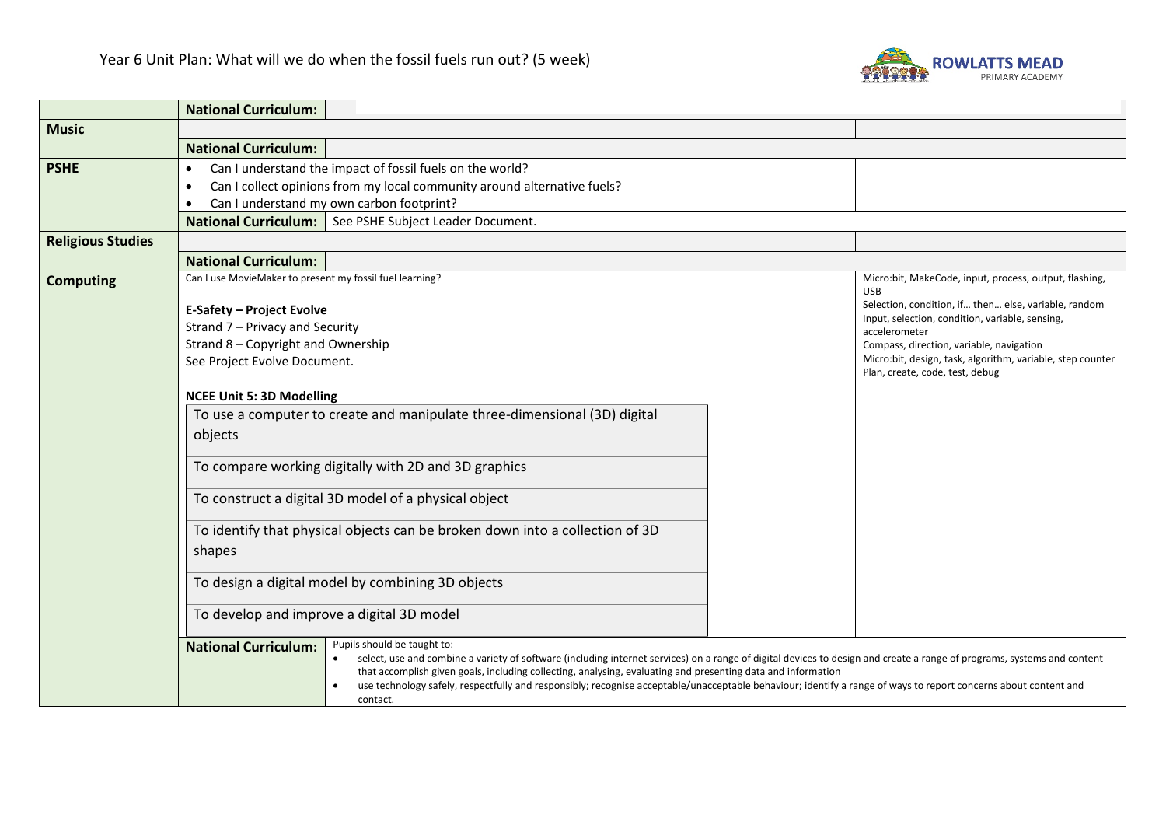

|                          | <b>National Curriculum:</b>                                                                                                                                                                                                                                                             |                                                                    |  |  |  |
|--------------------------|-----------------------------------------------------------------------------------------------------------------------------------------------------------------------------------------------------------------------------------------------------------------------------------------|--------------------------------------------------------------------|--|--|--|
| <b>Music</b>             |                                                                                                                                                                                                                                                                                         |                                                                    |  |  |  |
|                          | <b>National Curriculum:</b>                                                                                                                                                                                                                                                             |                                                                    |  |  |  |
| <b>PSHE</b>              | Can I understand the impact of fossil fuels on the world?<br>$\bullet$                                                                                                                                                                                                                  |                                                                    |  |  |  |
|                          | Can I collect opinions from my local community around alternative fuels?<br>$\bullet$                                                                                                                                                                                                   |                                                                    |  |  |  |
|                          | Can I understand my own carbon footprint?<br>$\bullet$<br>See PSHE Subject Leader Document.<br><b>National Curriculum:</b>                                                                                                                                                              |                                                                    |  |  |  |
|                          |                                                                                                                                                                                                                                                                                         |                                                                    |  |  |  |
| <b>Religious Studies</b> |                                                                                                                                                                                                                                                                                         |                                                                    |  |  |  |
|                          | <b>National Curriculum:</b>                                                                                                                                                                                                                                                             |                                                                    |  |  |  |
| <b>Computing</b>         | Can I use MovieMaker to present my fossil fuel learning?                                                                                                                                                                                                                                | Micro:bit, MakeCode, input, process, output, flashing,             |  |  |  |
|                          |                                                                                                                                                                                                                                                                                         | <b>USB</b><br>Selection, condition, if then else, variable, random |  |  |  |
|                          | <b>E-Safety - Project Evolve</b><br>Strand 7 - Privacy and Security                                                                                                                                                                                                                     | Input, selection, condition, variable, sensing,                    |  |  |  |
|                          | Strand 8 - Copyright and Ownership                                                                                                                                                                                                                                                      | accelerometer<br>Compass, direction, variable, navigation          |  |  |  |
|                          | See Project Evolve Document.                                                                                                                                                                                                                                                            | Micro:bit, design, task, algorithm, variable, step counter         |  |  |  |
|                          | Plan, create, code, test, debug                                                                                                                                                                                                                                                         |                                                                    |  |  |  |
|                          | <b>NCEE Unit 5: 3D Modelling</b>                                                                                                                                                                                                                                                        |                                                                    |  |  |  |
|                          | To use a computer to create and manipulate three-dimensional (3D) digital                                                                                                                                                                                                               |                                                                    |  |  |  |
|                          | objects                                                                                                                                                                                                                                                                                 |                                                                    |  |  |  |
|                          |                                                                                                                                                                                                                                                                                         |                                                                    |  |  |  |
|                          | To compare working digitally with 2D and 3D graphics                                                                                                                                                                                                                                    |                                                                    |  |  |  |
|                          |                                                                                                                                                                                                                                                                                         |                                                                    |  |  |  |
|                          | To construct a digital 3D model of a physical object                                                                                                                                                                                                                                    |                                                                    |  |  |  |
|                          | To identify that physical objects can be broken down into a collection of 3D                                                                                                                                                                                                            |                                                                    |  |  |  |
|                          | shapes                                                                                                                                                                                                                                                                                  |                                                                    |  |  |  |
|                          |                                                                                                                                                                                                                                                                                         |                                                                    |  |  |  |
|                          | To design a digital model by combining 3D objects                                                                                                                                                                                                                                       |                                                                    |  |  |  |
|                          | To develop and improve a digital 3D model                                                                                                                                                                                                                                               |                                                                    |  |  |  |
|                          |                                                                                                                                                                                                                                                                                         |                                                                    |  |  |  |
|                          | Pupils should be taught to:<br><b>National Curriculum:</b>                                                                                                                                                                                                                              |                                                                    |  |  |  |
|                          | select, use and combine a variety of software (including internet services) on a range of digital devices to design and create a range of programs, systems and content<br>that accomplish given goals, including collecting, analysing, evaluating and presenting data and information |                                                                    |  |  |  |
|                          | use technology safely, respectfully and responsibly; recognise acceptable/unacceptable behaviour; identify a range of ways to report concerns about content and                                                                                                                         |                                                                    |  |  |  |
|                          | contact.                                                                                                                                                                                                                                                                                |                                                                    |  |  |  |